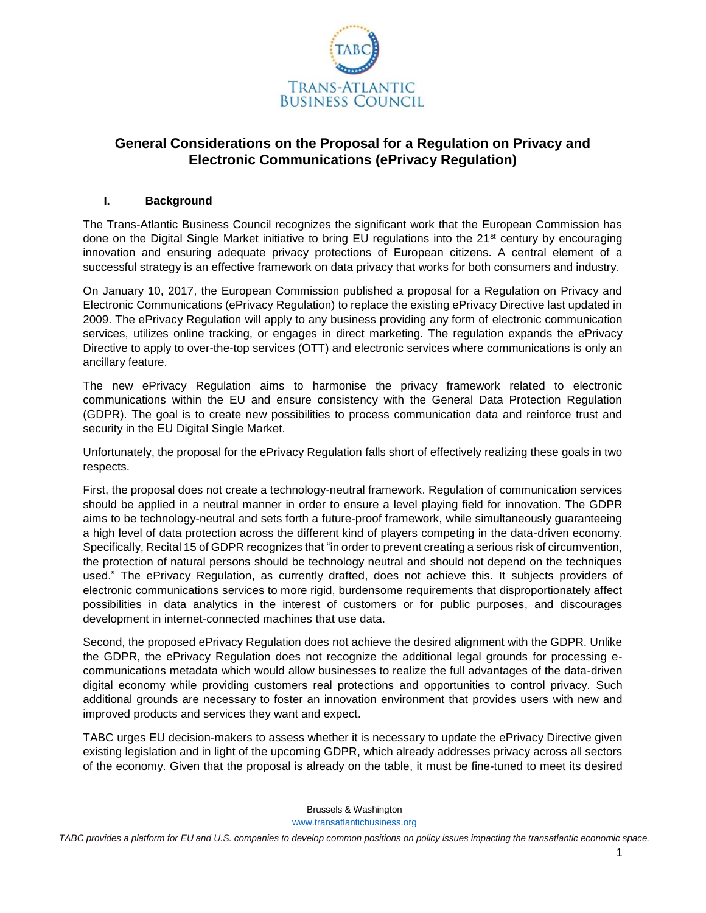

# **General Considerations on the Proposal for a Regulation on Privacy and Electronic Communications (ePrivacy Regulation)**

#### **I. Background**

The Trans-Atlantic Business Council recognizes the significant work that the European Commission has done on the Digital Single Market initiative to bring EU regulations into the 21<sup>st</sup> century by encouraging innovation and ensuring adequate privacy protections of European citizens. A central element of a successful strategy is an effective framework on data privacy that works for both consumers and industry.

On January 10, 2017, the European Commission published a proposal for a Regulation on Privacy and Electronic Communications (ePrivacy Regulation) to replace the existing ePrivacy Directive last updated in 2009. The ePrivacy Regulation will apply to any business providing any form of electronic communication services, utilizes online tracking, or engages in direct marketing. The regulation expands the ePrivacy Directive to apply to over-the-top services (OTT) and electronic services where communications is only an ancillary feature.

The new ePrivacy Regulation aims to harmonise the privacy framework related to electronic communications within the EU and ensure consistency with the General Data Protection Regulation (GDPR). The goal is to create new possibilities to process communication data and reinforce trust and security in the EU Digital Single Market.

Unfortunately, the proposal for the ePrivacy Regulation falls short of effectively realizing these goals in two respects.

First, the proposal does not create a technology-neutral framework. Regulation of communication services should be applied in a neutral manner in order to ensure a level playing field for innovation. The GDPR aims to be technology-neutral and sets forth a future-proof framework, while simultaneously guaranteeing a high level of data protection across the different kind of players competing in the data-driven economy. Specifically, Recital 15 of GDPR recognizes that "in order to prevent creating a serious risk of circumvention, the protection of natural persons should be technology neutral and should not depend on the techniques used." The ePrivacy Regulation, as currently drafted, does not achieve this. It subjects providers of electronic communications services to more rigid, burdensome requirements that disproportionately affect possibilities in data analytics in the interest of customers or for public purposes, and discourages development in internet-connected machines that use data.

Second, the proposed ePrivacy Regulation does not achieve the desired alignment with the GDPR. Unlike the GDPR, the ePrivacy Regulation does not recognize the additional legal grounds for processing ecommunications metadata which would allow businesses to realize the full advantages of the data-driven digital economy while providing customers real protections and opportunities to control privacy. Such additional grounds are necessary to foster an innovation environment that provides users with new and improved products and services they want and expect.

TABC urges EU decision-makers to assess whether it is necessary to update the ePrivacy Directive given existing legislation and in light of the upcoming GDPR, which already addresses privacy across all sectors of the economy. Given that the proposal is already on the table, it must be fine-tuned to meet its desired

Brussels & Washington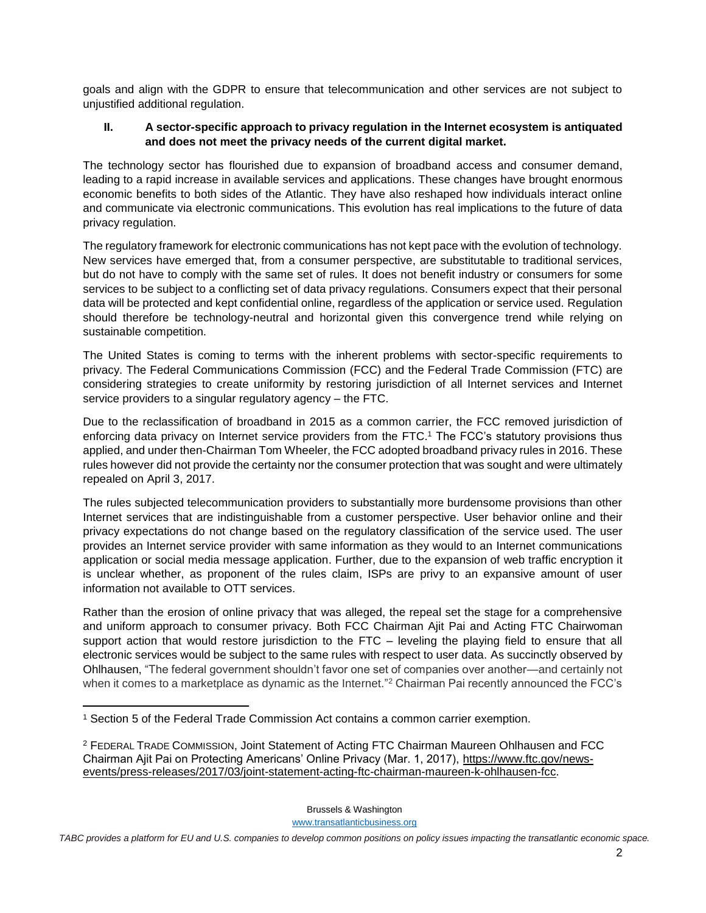goals and align with the GDPR to ensure that telecommunication and other services are not subject to unjustified additional regulation.

### **II. A sector-specific approach to privacy regulation in the Internet ecosystem is antiquated and does not meet the privacy needs of the current digital market.**

The technology sector has flourished due to expansion of broadband access and consumer demand, leading to a rapid increase in available services and applications. These changes have brought enormous economic benefits to both sides of the Atlantic. They have also reshaped how individuals interact online and communicate via electronic communications. This evolution has real implications to the future of data privacy regulation.

The regulatory framework for electronic communications has not kept pace with the evolution of technology. New services have emerged that, from a consumer perspective, are substitutable to traditional services, but do not have to comply with the same set of rules. It does not benefit industry or consumers for some services to be subject to a conflicting set of data privacy regulations. Consumers expect that their personal data will be protected and kept confidential online, regardless of the application or service used. Regulation should therefore be technology-neutral and horizontal given this convergence trend while relying on sustainable competition.

The United States is coming to terms with the inherent problems with sector-specific requirements to privacy. The Federal Communications Commission (FCC) and the Federal Trade Commission (FTC) are considering strategies to create uniformity by restoring jurisdiction of all Internet services and Internet service providers to a singular regulatory agency – the FTC.

Due to the reclassification of broadband in 2015 as a common carrier, the FCC removed jurisdiction of enforcing data privacy on Internet service providers from the FTC. <sup>1</sup> The FCC's statutory provisions thus applied, and under then-Chairman Tom Wheeler, the FCC adopted broadband privacy rules in 2016. These rules however did not provide the certainty nor the consumer protection that was sought and were ultimately repealed on April 3, 2017.

The rules subjected telecommunication providers to substantially more burdensome provisions than other Internet services that are indistinguishable from a customer perspective. User behavior online and their privacy expectations do not change based on the regulatory classification of the service used. The user provides an Internet service provider with same information as they would to an Internet communications application or social media message application. Further, due to the expansion of web traffic encryption it is unclear whether, as proponent of the rules claim, ISPs are privy to an expansive amount of user information not available to OTT services.

Rather than the erosion of online privacy that was alleged, the repeal set the stage for a comprehensive and uniform approach to consumer privacy. Both FCC Chairman Ajit Pai and Acting FTC Chairwoman support action that would restore jurisdiction to the FTC - leveling the playing field to ensure that all electronic services would be subject to the same rules with respect to user data. As succinctly observed by Ohlhausen, "The federal government shouldn't favor one set of companies over another—and certainly not when it comes to a marketplace as dynamic as the Internet."<sup>2</sup> Chairman Pai recently announced the FCC's

 $\overline{\phantom{a}}$ 

Brussels & Washington

<sup>1</sup> Section 5 of the Federal Trade Commission Act contains a common carrier exemption.

<sup>2</sup> FEDERAL TRADE COMMISSION, Joint Statement of Acting FTC Chairman Maureen Ohlhausen and FCC Chairman Ajit Pai on Protecting Americans' Online Privacy (Mar. 1, 2017), [https://www.ftc.gov/news](https://www.ftc.gov/news-events/press-releases/2017/03/joint-statement-acting-ftc-chairman-maureen-k-ohlhausen-fcc)[events/press-releases/2017/03/joint-statement-acting-ftc-chairman-maureen-k-ohlhausen-fcc.](https://www.ftc.gov/news-events/press-releases/2017/03/joint-statement-acting-ftc-chairman-maureen-k-ohlhausen-fcc)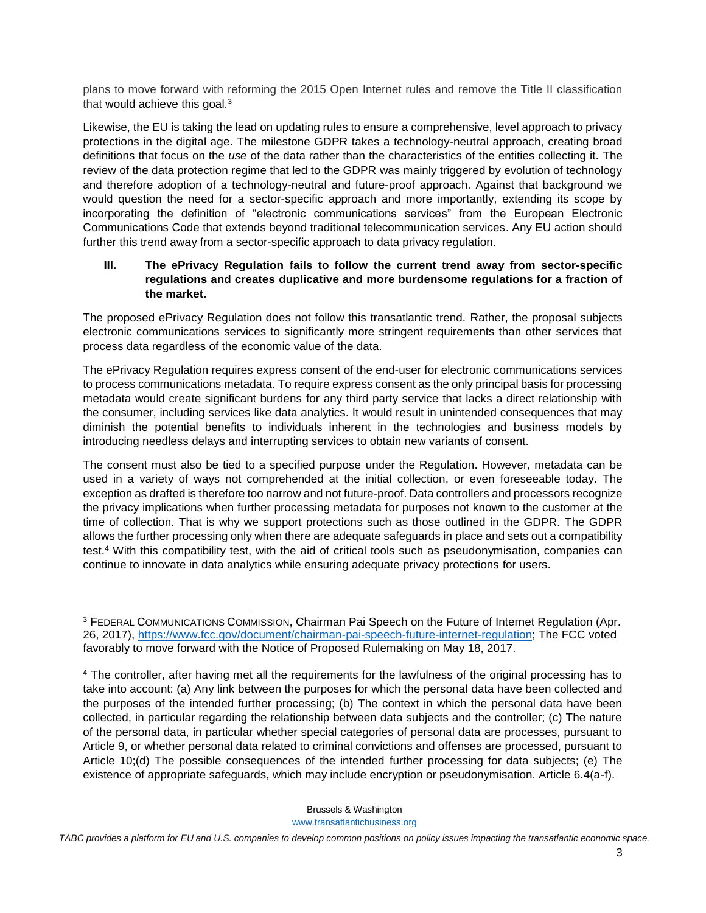plans to move forward with reforming the 2015 Open Internet rules and remove the Title II classification that would achieve this goal. $3$ 

Likewise, the EU is taking the lead on updating rules to ensure a comprehensive, level approach to privacy protections in the digital age. The milestone GDPR takes a technology-neutral approach, creating broad definitions that focus on the *use* of the data rather than the characteristics of the entities collecting it. The review of the data protection regime that led to the GDPR was mainly triggered by evolution of technology and therefore adoption of a technology-neutral and future-proof approach. Against that background we would question the need for a sector-specific approach and more importantly, extending its scope by incorporating the definition of "electronic communications services" from the European Electronic Communications Code that extends beyond traditional telecommunication services. Any EU action should further this trend away from a sector-specific approach to data privacy regulation.

#### **III. The ePrivacy Regulation fails to follow the current trend away from sector-specific regulations and creates duplicative and more burdensome regulations for a fraction of the market.**

The proposed ePrivacy Regulation does not follow this transatlantic trend. Rather, the proposal subjects electronic communications services to significantly more stringent requirements than other services that process data regardless of the economic value of the data.

The ePrivacy Regulation requires express consent of the end-user for electronic communications services to process communications metadata. To require express consent as the only principal basis for processing metadata would create significant burdens for any third party service that lacks a direct relationship with the consumer, including services like data analytics. It would result in unintended consequences that may diminish the potential benefits to individuals inherent in the technologies and business models by introducing needless delays and interrupting services to obtain new variants of consent.

The consent must also be tied to a specified purpose under the Regulation. However, metadata can be used in a variety of ways not comprehended at the initial collection, or even foreseeable today. The exception as drafted is therefore too narrow and not future-proof. Data controllers and processors recognize the privacy implications when further processing metadata for purposes not known to the customer at the time of collection. That is why we support protections such as those outlined in the GDPR. The GDPR allows the further processing only when there are adequate safeguards in place and sets out a compatibility test.<sup>4</sup> With this compatibility test, with the aid of critical tools such as pseudonymisation, companies can continue to innovate in data analytics while ensuring adequate privacy protections for users.

l

Brussels & Washington

<sup>3</sup> FEDERAL COMMUNICATIONS COMMISSION, Chairman Pai Speech on the Future of Internet Regulation (Apr. 26, 2017), [https://www.fcc.gov/document/chairman-pai-speech-future-internet-regulation;](https://www.fcc.gov/document/chairman-pai-speech-future-internet-regulation) The FCC voted favorably to move forward with the Notice of Proposed Rulemaking on May 18, 2017.

<sup>4</sup> The controller, after having met all the requirements for the lawfulness of the original processing has to take into account: (a) Any link between the purposes for which the personal data have been collected and the purposes of the intended further processing; (b) The context in which the personal data have been collected, in particular regarding the relationship between data subjects and the controller; (c) The nature of the personal data, in particular whether special categories of personal data are processes, pursuant to Article 9, or whether personal data related to criminal convictions and offenses are processed, pursuant to Article 10;(d) The possible consequences of the intended further processing for data subjects; (e) The existence of appropriate safeguards, which may include encryption or pseudonymisation. Article 6.4(a-f).

*TABC provides a platform for EU and U.S. companies to develop common positions on policy issues impacting the transatlantic economic space.*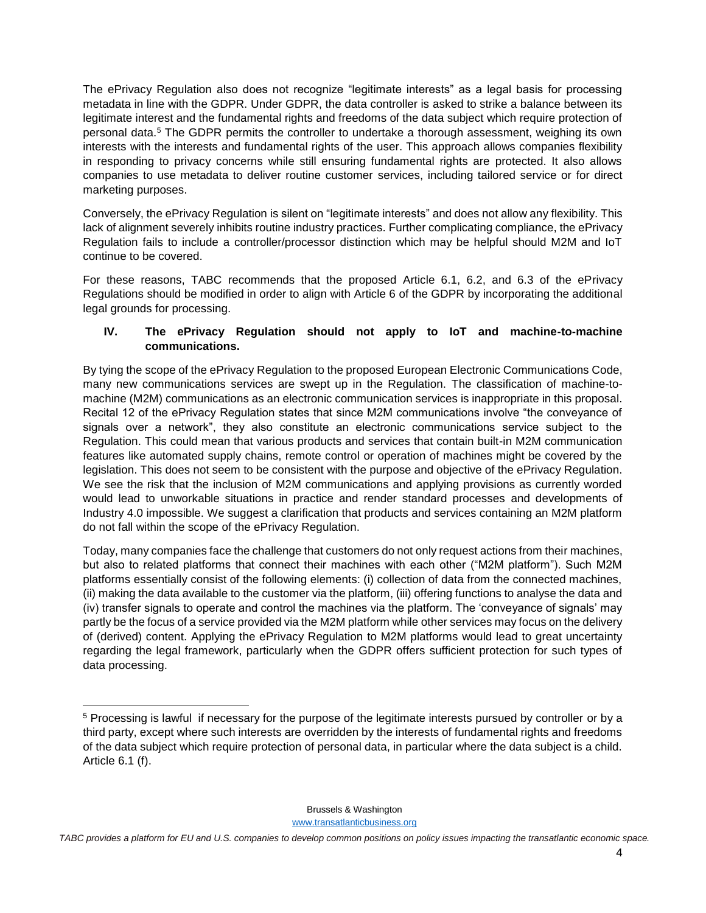The ePrivacy Regulation also does not recognize "legitimate interests" as a legal basis for processing metadata in line with the GDPR. Under GDPR, the data controller is asked to strike a balance between its legitimate interest and the fundamental rights and freedoms of the data subject which require protection of personal data.<sup>5</sup> The GDPR permits the controller to undertake a thorough assessment, weighing its own interests with the interests and fundamental rights of the user. This approach allows companies flexibility in responding to privacy concerns while still ensuring fundamental rights are protected. It also allows companies to use metadata to deliver routine customer services, including tailored service or for direct marketing purposes.

Conversely, the ePrivacy Regulation is silent on "legitimate interests" and does not allow any flexibility. This lack of alignment severely inhibits routine industry practices. Further complicating compliance, the ePrivacy Regulation fails to include a controller/processor distinction which may be helpful should M2M and IoT continue to be covered.

For these reasons, TABC recommends that the proposed Article 6.1, 6.2, and 6.3 of the ePrivacy Regulations should be modified in order to align with Article 6 of the GDPR by incorporating the additional legal grounds for processing.

## **IV. The ePrivacy Regulation should not apply to IoT and machine-to-machine communications.**

By tying the scope of the ePrivacy Regulation to the proposed European Electronic Communications Code, many new communications services are swept up in the Regulation. The classification of machine-tomachine (M2M) communications as an electronic communication services is inappropriate in this proposal. Recital 12 of the ePrivacy Regulation states that since M2M communications involve "the conveyance of signals over a network", they also constitute an electronic communications service subject to the Regulation. This could mean that various products and services that contain built-in M2M communication features like automated supply chains, remote control or operation of machines might be covered by the legislation. This does not seem to be consistent with the purpose and objective of the ePrivacy Regulation. We see the risk that the inclusion of M2M communications and applying provisions as currently worded would lead to unworkable situations in practice and render standard processes and developments of Industry 4.0 impossible. We suggest a clarification that products and services containing an M2M platform do not fall within the scope of the ePrivacy Regulation.

Today, many companies face the challenge that customers do not only request actions from their machines, but also to related platforms that connect their machines with each other ("M2M platform"). Such M2M platforms essentially consist of the following elements: (i) collection of data from the connected machines, (ii) making the data available to the customer via the platform, (iii) offering functions to analyse the data and (iv) transfer signals to operate and control the machines via the platform. The 'conveyance of signals' may partly be the focus of a service provided via the M2M platform while other services may focus on the delivery of (derived) content. Applying the ePrivacy Regulation to M2M platforms would lead to great uncertainty regarding the legal framework, particularly when the GDPR offers sufficient protection for such types of data processing.

 $\overline{\phantom{a}}$ 

Brussels & Washington

<sup>5</sup> Processing is lawful if necessary for the purpose of the legitimate interests pursued by controller or by a third party, except where such interests are overridden by the interests of fundamental rights and freedoms of the data subject which require protection of personal data, in particular where the data subject is a child. Article 6.1 (f).